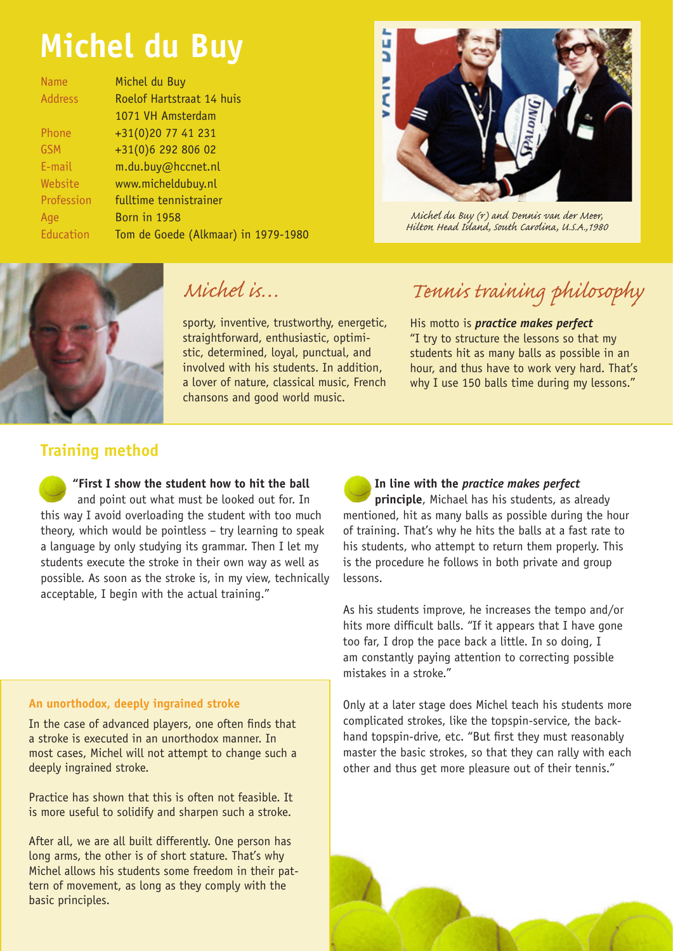# **Michel du Buy**

| <b>Name</b>    | Michel du Buy                       |
|----------------|-------------------------------------|
| <b>Address</b> | Roelof Hartstraat 14 huis           |
|                | 1071 VH Amsterdam                   |
| Phone          | +31(0)20 77 41 231                  |
| GSM            | +31(0)6 292 806 02                  |
| E-mail         | m.du.buy@hccnet.nl                  |
| Website        | www.micheldubuy.nl                  |
| Profession     | fulltime tennistrainer              |
| Age            | <b>Born in 1958</b>                 |
| Education      | Tom de Goede (Alkmaar) in 1979-1980 |



*Michel du Buy (r) and Dennis van der Meer, Hilton Head Island, South Carolina, U.S.A.,1980*



#### *Michel is…*

sporty, inventive, trustworthy, energetic, straightforward, enthusiastic, optimistic, determined, loyal, punctual, and involved with his students. In addition, a lover of nature, classical music, French chansons and good world music.

## *Tennis training philosophy*

His motto is *practice makes perfect* "I try to structure the lessons so that my students hit as many balls as possible in an hour, and thus have to work very hard. That's why I use 150 balls time during my lessons."

#### **Training method**

**"First I show the student how to hit the ball** and point out what must be looked out for. In this way I avoid overloading the student with too much theory, which would be pointless – try learning to speak a language by only studying its grammar. Then I let my students execute the stroke in their own way as well as possible. As soon as the stroke is, in my view, technically acceptable, I begin with the actual training."

#### **An unorthodox, deeply ingrained stroke**

In the case of advanced players, one often finds that a stroke is executed in an unorthodox manner. In most cases, Michel will not attempt to change such a deeply ingrained stroke.

Practice has shown that this is often not feasible. It is more useful to solidify and sharpen such a stroke.

After all, we are all built differently. One person has long arms, the other is of short stature. That's why Michel allows his students some freedom in their pattern of movement, as long as they comply with the basic principles.

**In line with the** *practice makes perfect*  **principle**, Michael has his students, as already mentioned, hit as many balls as possible during the hour of training. That's why he hits the balls at a fast rate to his students, who attempt to return them properly. This is the procedure he follows in both private and group lessons.

As his students improve, he increases the tempo and/or hits more difficult balls. "If it appears that I have gone too far, I drop the pace back a little. In so doing, I am constantly paying attention to correcting possible mistakes in a stroke."

Only at a later stage does Michel teach his students more complicated strokes, like the topspin-service, the backhand topspin-drive, etc. "But first they must reasonably master the basic strokes, so that they can rally with each other and thus get more pleasure out of their tennis."